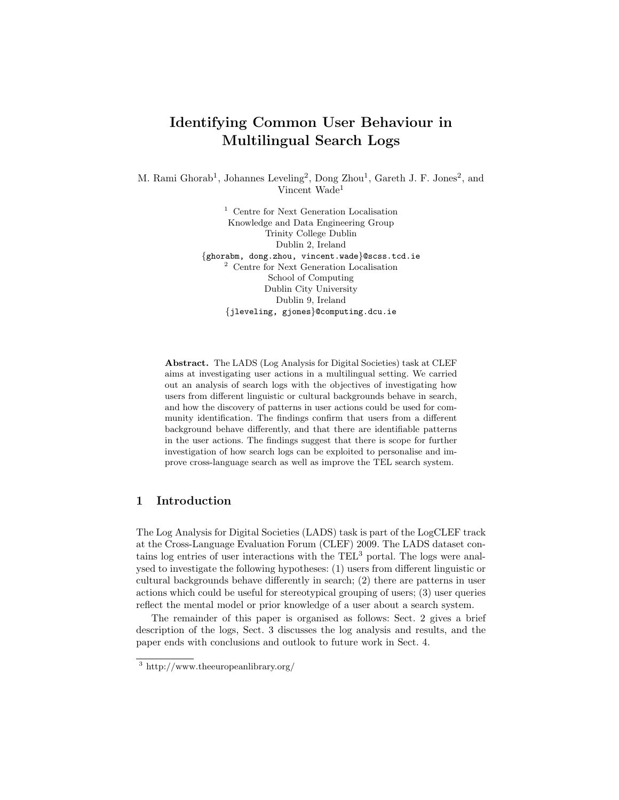# Identifying Common User Behaviour in Multilingual Search Logs

M. Rami Ghorab<sup>1</sup>, Johannes Leveling<sup>2</sup>, Dong Zhou<sup>1</sup>, Gareth J. F. Jones<sup>2</sup>, and Vincent Wade<sup>1</sup>

> <sup>1</sup> Centre for Next Generation Localisation Knowledge and Data Engineering Group Trinity College Dublin Dublin 2, Ireland {ghorabm, dong.zhou, vincent.wade}@scss.tcd.ie <sup>2</sup> Centre for Next Generation Localisation School of Computing Dublin City University Dublin 9, Ireland {jleveling, gjones}@computing.dcu.ie

Abstract. The LADS (Log Analysis for Digital Societies) task at CLEF aims at investigating user actions in a multilingual setting. We carried out an analysis of search logs with the objectives of investigating how users from different linguistic or cultural backgrounds behave in search, and how the discovery of patterns in user actions could be used for community identification. The findings confirm that users from a different background behave differently, and that there are identifiable patterns in the user actions. The findings suggest that there is scope for further investigation of how search logs can be exploited to personalise and improve cross-language search as well as improve the TEL search system.

## 1 Introduction

The Log Analysis for Digital Societies (LADS) task is part of the LogCLEF track at the Cross-Language Evaluation Forum (CLEF) 2009. The LADS dataset contains log entries of user interactions with the  $TEL<sup>3</sup>$  portal. The logs were analysed to investigate the following hypotheses: (1) users from different linguistic or cultural backgrounds behave differently in search; (2) there are patterns in user actions which could be useful for stereotypical grouping of users; (3) user queries reflect the mental model or prior knowledge of a user about a search system.

The remainder of this paper is organised as follows: Sect. 2 gives a brief description of the logs, Sect. 3 discusses the log analysis and results, and the paper ends with conclusions and outlook to future work in Sect. 4.

<sup>3</sup> http://www.theeuropeanlibrary.org/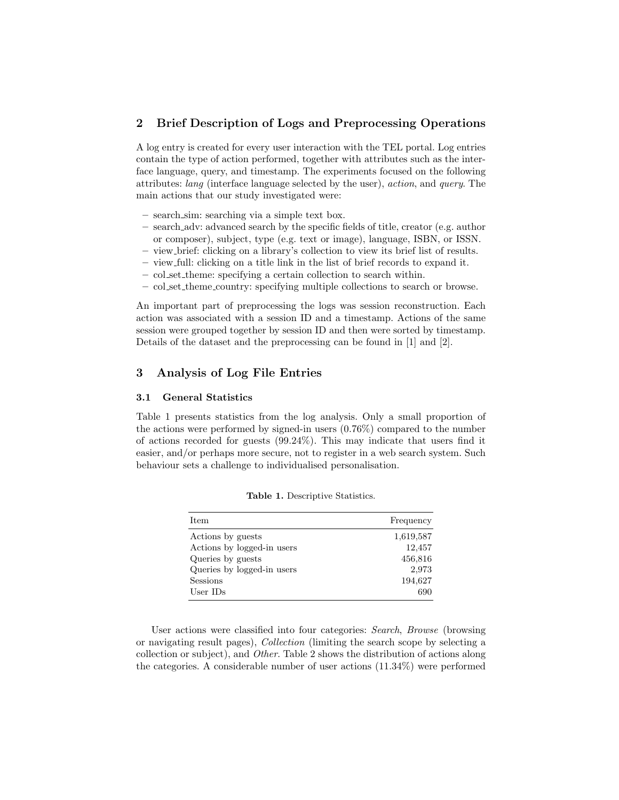# 2 Brief Description of Logs and Preprocessing Operations

A log entry is created for every user interaction with the TEL portal. Log entries contain the type of action performed, together with attributes such as the interface language, query, and timestamp. The experiments focused on the following attributes: lang (interface language selected by the user), action, and query. The main actions that our study investigated were:

- search sim: searching via a simple text box.
- search adv: advanced search by the specific fields of title, creator (e.g. author or composer), subject, type (e.g. text or image), language, ISBN, or ISSN.
- view brief: clicking on a library's collection to view its brief list of results.
- view full: clicking on a title link in the list of brief records to expand it.
- col set theme: specifying a certain collection to search within.
- col set theme country: specifying multiple collections to search or browse.

An important part of preprocessing the logs was session reconstruction. Each action was associated with a session ID and a timestamp. Actions of the same session were grouped together by session ID and then were sorted by timestamp. Details of the dataset and the preprocessing can be found in [1] and [2].

## 3 Analysis of Log File Entries

## 3.1 General Statistics

Table 1 presents statistics from the log analysis. Only a small proportion of the actions were performed by signed-in users (0.76%) compared to the number of actions recorded for guests (99.24%). This may indicate that users find it easier, and/or perhaps more secure, not to register in a web search system. Such behaviour sets a challenge to individualised personalisation.

| Item                       | Frequency |
|----------------------------|-----------|
| Actions by guests          | 1,619,587 |
| Actions by logged-in users | 12,457    |
| Queries by guests          | 456,816   |
| Queries by logged-in users | 2,973     |
| <b>Sessions</b>            | 194,627   |
| User IDs                   | 690       |

Table 1. Descriptive Statistics.

User actions were classified into four categories: Search, Browse (browsing) or navigating result pages), Collection (limiting the search scope by selecting a collection or subject), and Other. Table 2 shows the distribution of actions along the categories. A considerable number of user actions (11.34%) were performed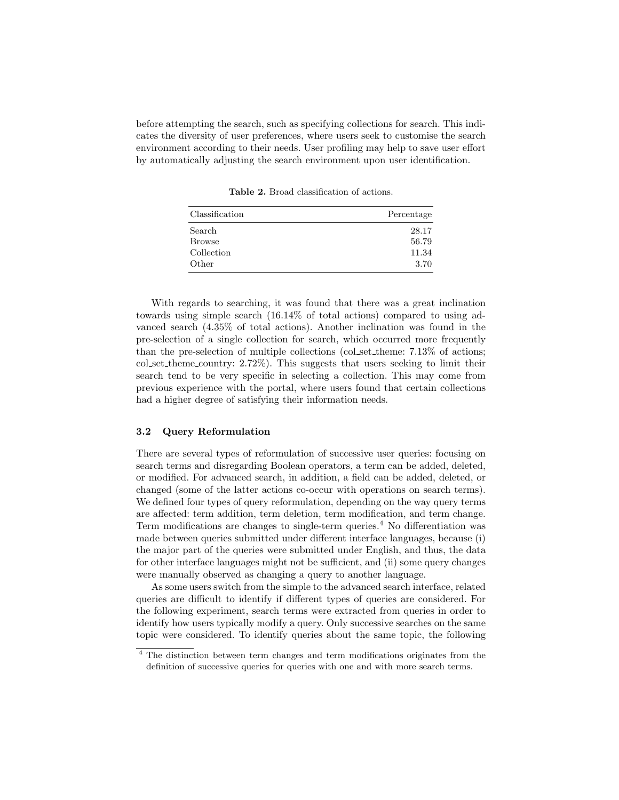before attempting the search, such as specifying collections for search. This indicates the diversity of user preferences, where users seek to customise the search environment according to their needs. User profiling may help to save user effort by automatically adjusting the search environment upon user identification.

Table 2. Broad classification of actions. Classification Percentage

Search 28.17 Browse 56.79 Collection 11.34 Other 3.70

### 3.2 Query Reformulation

There are several types of reformulation of successive user queries: focusing on search terms and disregarding Boolean operators, a term can be added, deleted, or modified. For advanced search, in addition, a field can be added, deleted, or changed (some of the latter actions co-occur with operations on search terms). We defined four types of query reformulation, depending on the way query terms are affected: term addition, term deletion, term modification, and term change. Term modifications are changes to single-term queries.<sup>4</sup> No differentiation was made between queries submitted under different interface languages, because (i) the major part of the queries were submitted under English, and thus, the data for other interface languages might not be sufficient, and (ii) some query changes were manually observed as changing a query to another language.

As some users switch from the simple to the advanced search interface, related queries are difficult to identify if different types of queries are considered. For the following experiment, search terms were extracted from queries in order to identify how users typically modify a query. Only successive searches on the same topic were considered. To identify queries about the same topic, the following

<sup>&</sup>lt;sup>4</sup> The distinction between term changes and term modifications originates from the definition of successive queries for queries with one and with more search terms.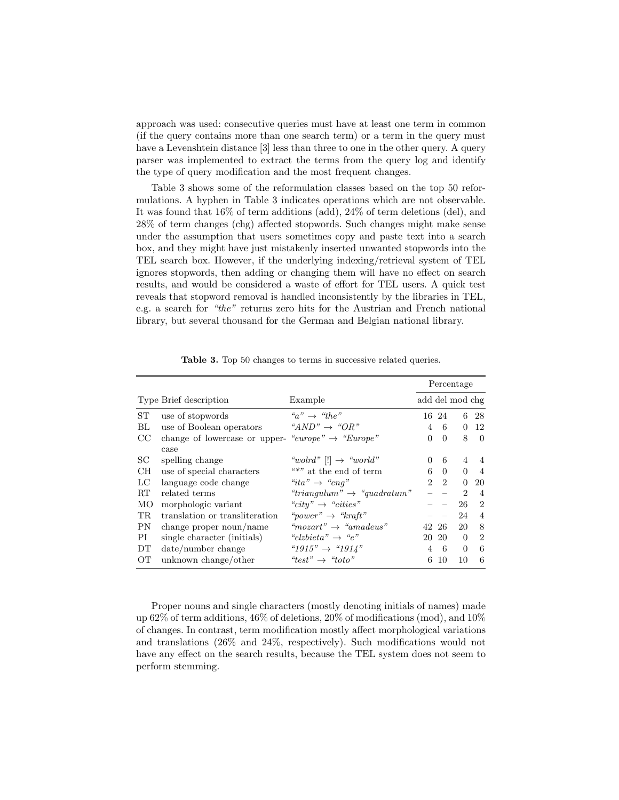approach was used: consecutive queries must have at least one term in common (if the query contains more than one search term) or a term in the query must have a Levenshtein distance [3] less than three to one in the other query. A query parser was implemented to extract the terms from the query log and identify the type of query modification and the most frequent changes.

Table 3 shows some of the reformulation classes based on the top 50 reformulations. A hyphen in Table 3 indicates operations which are not observable. It was found that 16% of term additions (add), 24% of term deletions (del), and 28% of term changes (chg) affected stopwords. Such changes might make sense under the assumption that users sometimes copy and paste text into a search box, and they might have just mistakenly inserted unwanted stopwords into the TEL search box. However, if the underlying indexing/retrieval system of TEL ignores stopwords, then adding or changing them will have no effect on search results, and would be considered a waste of effort for TEL users. A quick test reveals that stopword removal is handled inconsistently by the libraries in TEL, e.g. a search for "the" returns zero hits for the Austrian and French national library, but several thousand for the German and Belgian national library.

|             |                                                              |                                             |                             |          | Percentage      |                |
|-------------|--------------------------------------------------------------|---------------------------------------------|-----------------------------|----------|-----------------|----------------|
|             | Type Brief description                                       | Example                                     |                             |          | add del mod chg |                |
| ST.         | use of stopwords                                             | $``a" \rightarrow "the"$                    |                             | 16 24    | 6               | 28             |
| BL          | use of Boolean operators                                     | " $AND" \rightarrow "OR"$                   | 4                           | 6        | $\Omega$        | 12             |
| $_{\rm CC}$ | change of lowercase or upper-"europe" $\rightarrow$ "Europe" |                                             | $\Omega$                    | $\Omega$ | 8               | $\Omega$       |
|             | case                                                         |                                             |                             |          |                 |                |
| SС          | spelling change                                              | "wolrd" $[!] \rightarrow "world"$           | 0                           | 6        | 4               | $\overline{4}$ |
| CН          | use of special characters                                    | $\sqrt{***}$ at the end of term             | 6                           | $\Omega$ | $\Omega$        | $\overline{4}$ |
| LC          | language code change                                         | $\degree$ ita" $\rightarrow$ $\degree$ eng" | $\mathcal{D}_{\mathcal{L}}$ | 2        | $\Omega$        | 20             |
| RT          | related terms                                                | "triangulum" $\rightarrow$ "quadratum"      |                             |          | $\mathfrak{D}$  | $\overline{4}$ |
| MО          | morphologic variant                                          | "city" $\rightarrow$ "cities"               |                             |          | 26              | $\overline{2}$ |
| TR          | translation or transliteration                               | "power" $\rightarrow$ "kraft"               |                             |          | 24              | $\overline{4}$ |
| PN.         | change proper noun/name                                      | "mozart" $\rightarrow$ "amadeus"            |                             | 42 26    | 20              | 8              |
| РI          | single character (initials)                                  | "elzbieta" $\rightarrow$ "e"                | 20                          | 20       | $\Omega$        | $\overline{2}$ |
| DT          | date/number change                                           | " $1915" \rightarrow "1914"$                | 4                           | 6        | $\Omega$        | 6              |
| OТ          | unknown change/other                                         | "test" $\rightarrow$ "toto"                 | 6                           | 10       | 10              | 6              |

Table 3. Top 50 changes to terms in successive related queries.

Proper nouns and single characters (mostly denoting initials of names) made up  $62\%$  of term additions,  $46\%$  of deletions,  $20\%$  of modifications (mod), and  $10\%$ of changes. In contrast, term modification mostly affect morphological variations and translations (26% and 24%, respectively). Such modifications would not have any effect on the search results, because the TEL system does not seem to perform stemming.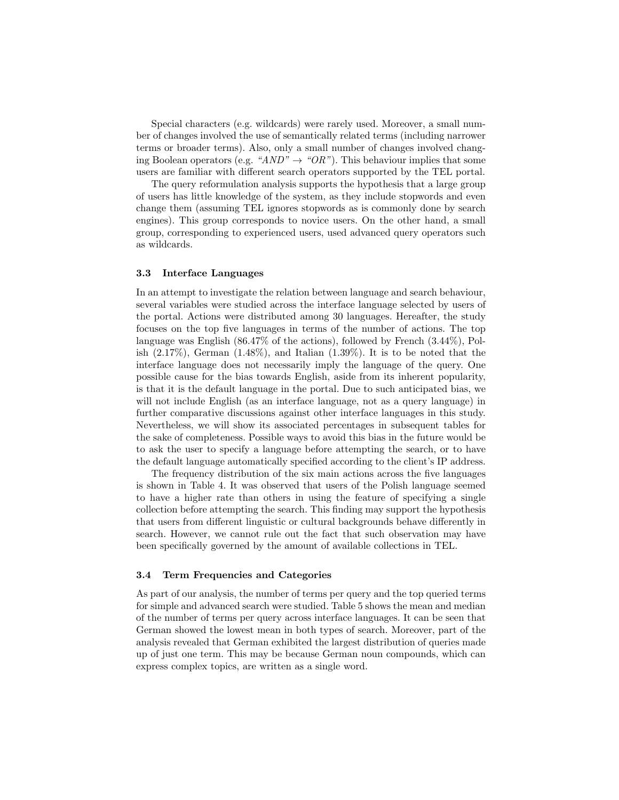Special characters (e.g. wildcards) were rarely used. Moreover, a small number of changes involved the use of semantically related terms (including narrower terms or broader terms). Also, only a small number of changes involved changing Boolean operators (e.g. " $AND'' \rightarrow "OR"$ ). This behaviour implies that some users are familiar with different search operators supported by the TEL portal.

The query reformulation analysis supports the hypothesis that a large group of users has little knowledge of the system, as they include stopwords and even change them (assuming TEL ignores stopwords as is commonly done by search engines). This group corresponds to novice users. On the other hand, a small group, corresponding to experienced users, used advanced query operators such as wildcards.

#### 3.3 Interface Languages

In an attempt to investigate the relation between language and search behaviour, several variables were studied across the interface language selected by users of the portal. Actions were distributed among 30 languages. Hereafter, the study focuses on the top five languages in terms of the number of actions. The top language was English (86.47% of the actions), followed by French (3.44%), Polish  $(2.17\%)$ , German  $(1.48\%)$ , and Italian  $(1.39\%)$ . It is to be noted that the interface language does not necessarily imply the language of the query. One possible cause for the bias towards English, aside from its inherent popularity, is that it is the default language in the portal. Due to such anticipated bias, we will not include English (as an interface language, not as a query language) in further comparative discussions against other interface languages in this study. Nevertheless, we will show its associated percentages in subsequent tables for the sake of completeness. Possible ways to avoid this bias in the future would be to ask the user to specify a language before attempting the search, or to have the default language automatically specified according to the client's IP address.

The frequency distribution of the six main actions across the five languages is shown in Table 4. It was observed that users of the Polish language seemed to have a higher rate than others in using the feature of specifying a single collection before attempting the search. This finding may support the hypothesis that users from different linguistic or cultural backgrounds behave differently in search. However, we cannot rule out the fact that such observation may have been specifically governed by the amount of available collections in TEL.

#### 3.4 Term Frequencies and Categories

As part of our analysis, the number of terms per query and the top queried terms for simple and advanced search were studied. Table 5 shows the mean and median of the number of terms per query across interface languages. It can be seen that German showed the lowest mean in both types of search. Moreover, part of the analysis revealed that German exhibited the largest distribution of queries made up of just one term. This may be because German noun compounds, which can express complex topics, are written as a single word.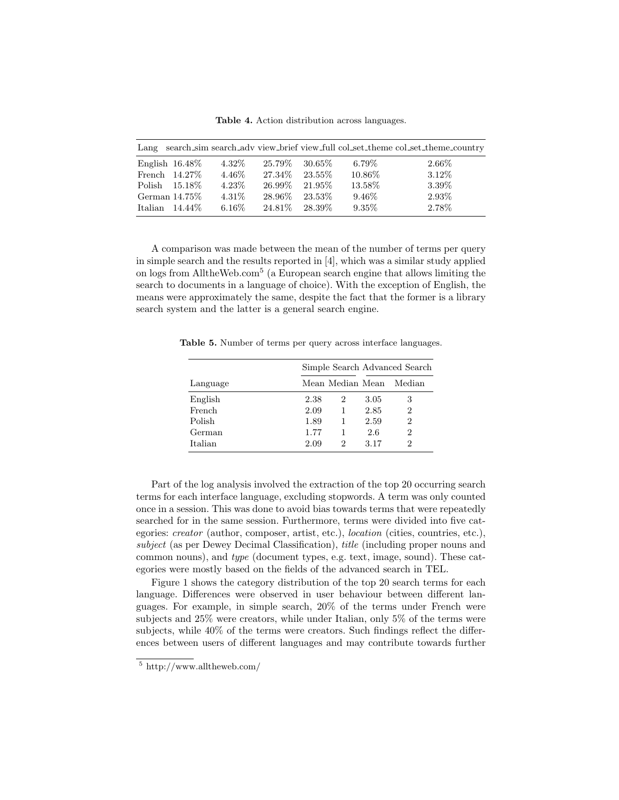Table 4. Action distribution across languages.

|                   |          |                 |           |          | Lang search_sim search_adv view_brief view_full col_set_theme col_set_theme_country |
|-------------------|----------|-----------------|-----------|----------|-------------------------------------------------------------------------------------|
| English $16.48\%$ | $4.32\%$ | 25.79%          | $30.65\%$ | 6.79%    | $2.66\%$                                                                            |
| French $14.27\%$  | $4.46\%$ | 27.34%          | $23.55\%$ | 10.86%   | $3.12\%$                                                                            |
| Polish 15.18\%    | 4.23%    | 26.99%          | 21.95\%   | 13.58%   | 3.39%                                                                               |
| German $14.75\%$  | $4.31\%$ | 28.96\% 23.53\% |           | $9.46\%$ | 2.93%                                                                               |
| Italian $14.44\%$ | $6.16\%$ | 24.81\%         | 28.39%    | $9.35\%$ | 2.78%                                                                               |

A comparison was made between the mean of the number of terms per query in simple search and the results reported in [4], which was a similar study applied on logs from AlltheWeb.com<sup>5</sup> (a European search engine that allows limiting the search to documents in a language of choice). With the exception of English, the means were approximately the same, despite the fact that the former is a library search system and the latter is a general search engine.

Table 5. Number of terms per query across interface languages.

|          |      |                  |      | Simple Search Advanced Search |  |  |  |
|----------|------|------------------|------|-------------------------------|--|--|--|
| Language |      | Mean Median Mean |      | Median                        |  |  |  |
| English  | 2.38 | 2                | 3.05 | 3                             |  |  |  |
| French   | 2.09 | 1                | 2.85 | $\overline{2}$                |  |  |  |
| Polish   | 1.89 |                  | 2.59 | $\overline{2}$                |  |  |  |
| German   | 1.77 |                  | 2.6  | $\overline{2}$                |  |  |  |
| Italian  | 2.09 | 2                | 3.17 | 2                             |  |  |  |

Part of the log analysis involved the extraction of the top 20 occurring search terms for each interface language, excluding stopwords. A term was only counted once in a session. This was done to avoid bias towards terms that were repeatedly searched for in the same session. Furthermore, terms were divided into five categories: creator (author, composer, artist, etc.), location (cities, countries, etc.), subject (as per Dewey Decimal Classification), title (including proper nouns and common nouns), and type (document types, e.g. text, image, sound). These categories were mostly based on the fields of the advanced search in TEL.

Figure 1 shows the category distribution of the top 20 search terms for each language. Differences were observed in user behaviour between different languages. For example, in simple search, 20% of the terms under French were subjects and 25% were creators, while under Italian, only 5% of the terms were subjects, while 40% of the terms were creators. Such findings reflect the differences between users of different languages and may contribute towards further

<sup>5</sup> http://www.alltheweb.com/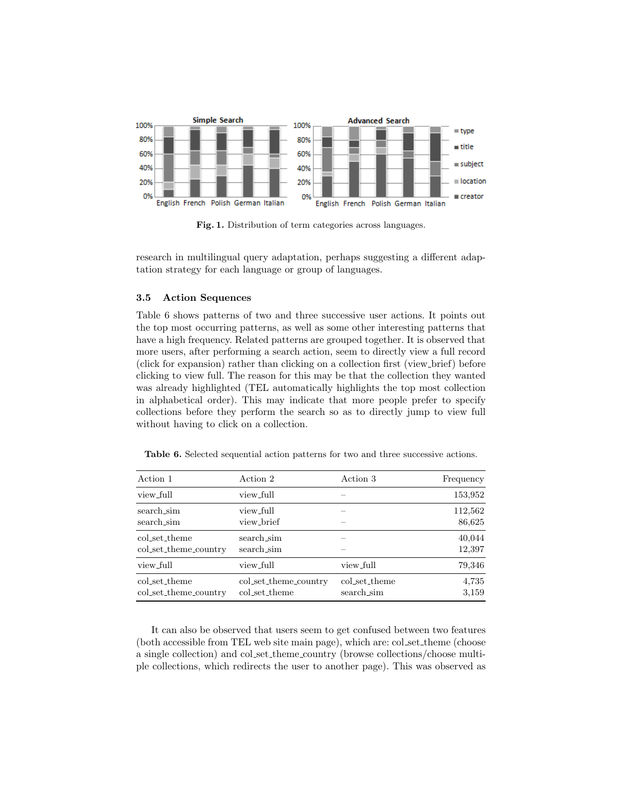

Fig. 1. Distribution of term categories across languages.

research in multilingual query adaptation, perhaps suggesting a different adaptation strategy for each language or group of languages.

#### 3.5 Action Sequences

Table 6 shows patterns of two and three successive user actions. It points out the top most occurring patterns, as well as some other interesting patterns that have a high frequency. Related patterns are grouped together. It is observed that more users, after performing a search action, seem to directly view a full record (click for expansion) rather than clicking on a collection first (view brief) before clicking to view full. The reason for this may be that the collection they wanted was already highlighted (TEL automatically highlights the top most collection in alphabetical order). This may indicate that more people prefer to specify collections before they perform the search so as to directly jump to view full without having to click on a collection.

|  |  | Table 6. Selected sequential action patterns for two and three successive actions. |  |  |  |  |  |  |  |  |
|--|--|------------------------------------------------------------------------------------|--|--|--|--|--|--|--|--|
|--|--|------------------------------------------------------------------------------------|--|--|--|--|--|--|--|--|

| Action 1              | Action 2              | Action 3      | Frequency |
|-----------------------|-----------------------|---------------|-----------|
| view_full             | view_full             |               | 153,952   |
| search_sim            | view_full             |               | 112,562   |
| search_sim            | view_brief            |               | 86,625    |
| col_set_theme         | search_sim            |               | 40,044    |
| col_set_theme_country | search_sim            |               | 12,397    |
| view_full             | view_full             | view_full     | 79,346    |
| col_set_theme         | col_set_theme_country | col_set_theme | 4,735     |
| col_set_theme_country | col_set_theme         | search_sim    | 3,159     |

It can also be observed that users seem to get confused between two features (both accessible from TEL web site main page), which are: col set theme (choose a single collection) and col set theme country (browse collections/choose multiple collections, which redirects the user to another page). This was observed as